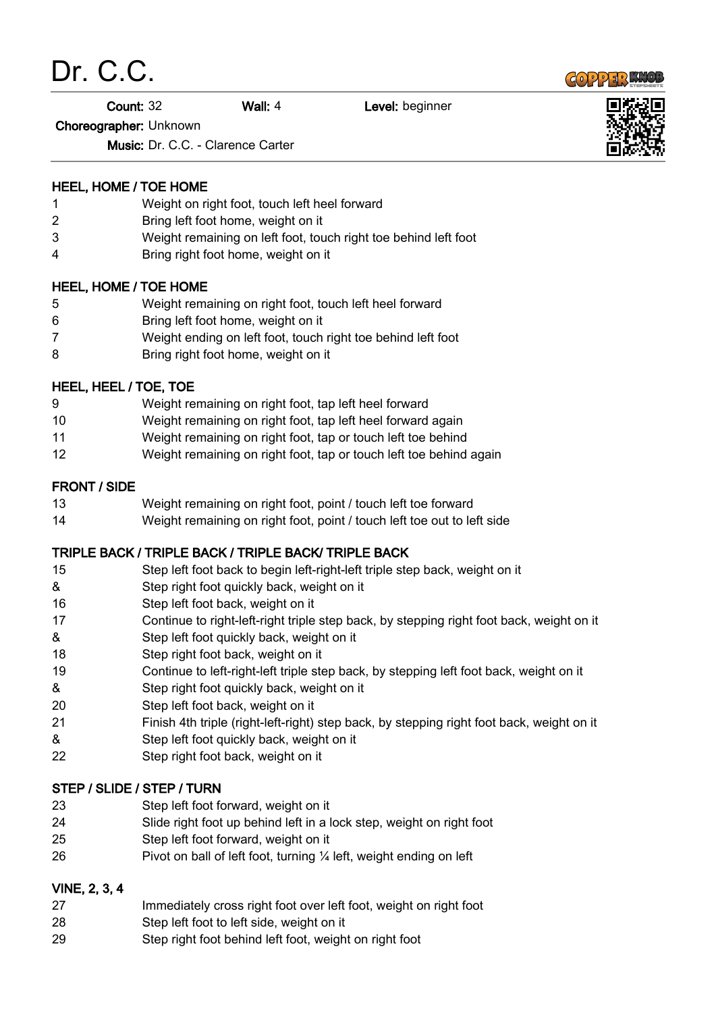



Count: 32 Wall: 4 Level: beginner

Choreographer: Unknown

Music: Dr. C.C. - Clarence Carter

### HEEL, HOME / TOE HOME

- Weight on right foot, touch left heel forward
- Bring left foot home, weight on it
- Weight remaining on left foot, touch right toe behind left foot
- Bring right foot home, weight on it

### HEEL, HOME / TOE HOME

- Weight remaining on right foot, touch left heel forward
- Bring left foot home, weight on it
- Weight ending on left foot, touch right toe behind left foot
- Bring right foot home, weight on it

## HEEL, HEEL / TOE, TOE

- Weight remaining on right foot, tap left heel forward
- Weight remaining on right foot, tap left heel forward again
- Weight remaining on right foot, tap or touch left toe behind
- Weight remaining on right foot, tap or touch left toe behind again

## FRONT / SIDE

- Weight remaining on right foot, point / touch left toe forward
- Weight remaining on right foot, point / touch left toe out to left side

# TRIPLE BACK / TRIPLE BACK / TRIPLE BACK/ TRIPLE BACK

- Step left foot back to begin left-right-left triple step back, weight on it
- & Step right foot quickly back, weight on it
- Step left foot back, weight on it
- Continue to right-left-right triple step back, by stepping right foot back, weight on it
- & Step left foot quickly back, weight on it
- 18 Step right foot back, weight on it
- Continue to left-right-left triple step back, by stepping left foot back, weight on it
- & Step right foot quickly back, weight on it
- Step left foot back, weight on it
- Finish 4th triple (right-left-right) step back, by stepping right foot back, weight on it
- & Step left foot quickly back, weight on it
- Step right foot back, weight on it

### STEP / SLIDE / STEP / TURN

- Step left foot forward, weight on it
- Slide right foot up behind left in a lock step, weight on right foot
- Step left foot forward, weight on it
- 26 Pivot on ball of left foot, turning 1/4 left, weight ending on left

### VINE, 2, 3, 4

- Immediately cross right foot over left foot, weight on right foot
- Step left foot to left side, weight on it
- Step right foot behind left foot, weight on right foot